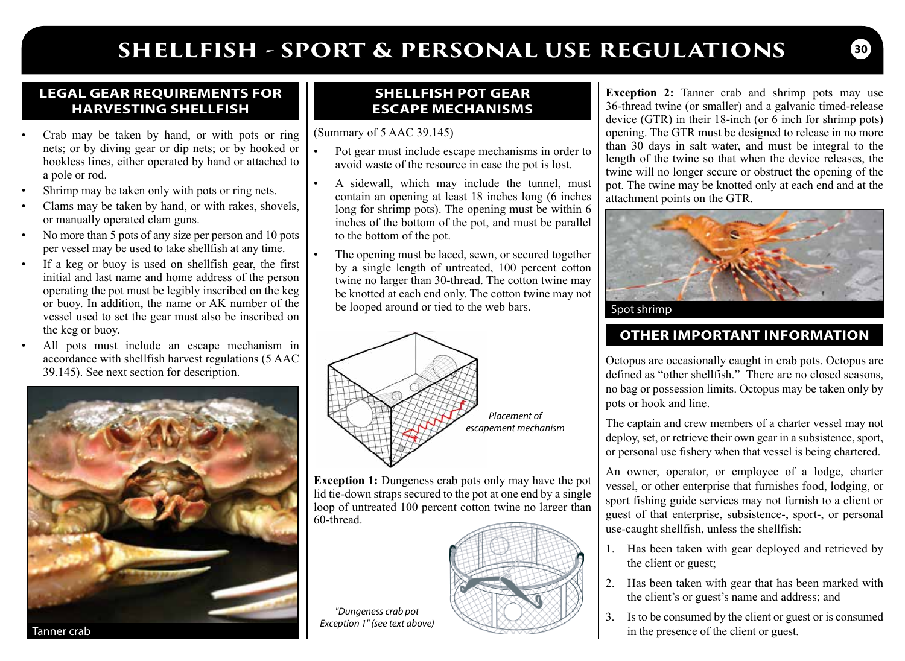# **SHELLFISH - SPORT & PERSONAL USE REGULATIONS**

#### **LEGAL GEAR REQUIREMENTS FOR HARVESTING SHELLFISH**

- Crab may be taken by hand, or with pots or ring nets; or by diving gear or dip nets; or by hooked or hookless lines, either operated by hand or attached to a pole or rod.
- Shrimp may be taken only with pots or ring nets.
- Clams may be taken by hand, or with rakes, shovels, or manually operated clam guns.
- No more than 5 pots of any size per person and 10 pots per vessel may be used to take shellfish at any time.
- If a keg or buoy is used on shellfish gear, the first initial and last name and home address of the person operating the pot must be legibly inscribed on the keg or buoy. In addition, the name or AK number of the vessel used to set the gear must also be inscribed on the keg or buoy.
- All pots must include an escape mechanism in accordance with shellfish harvest regulations (5 AAC



### **SHELLFISH POT GEAR ESCAPE MECHANISMS**

(Summary of 5 AAC 39.145)

- Pot gear must include escape mechanisms in order to avoid waste of the resource in case the pot is lost.
- A sidewall, which may include the tunnel, must contain an opening at least 18 inches long (6 inches long for shrimp pots). The opening must be within 6 inches of the bottom of the pot, and must be parallel to the bottom of the pot.
- The opening must be laced, sewn, or secured together by a single length of untreated, 100 percent cotton twine no larger than 30-thread. The cotton twine may be knotted at each end only. The cotton twine may not be looped around or tied to the web bars.



**Exception 1:** Dungeness crab pots only may have the pot lid tie-down straps secured to the pot at one end by a single loop of untreated 100 percent cotton twine no larger than 60-thread.



*"Dungeness crab pot Exception 1" (see text above)*

**Exception 2:** Tanner crab and shrimp pots may use 36-thread twine (or smaller) and a galvanic timed-release device (GTR) in their 18-inch (or 6 inch for shrimp pots) opening. The GTR must be designed to release in no more than 30 days in salt water, and must be integral to the length of the twine so that when the device releases, the twine will no longer secure or obstruct the opening of the pot. The twine may be knotted only at each end and at the attachment points on the GTR.



Spot shrimp

## **OTHER IMPORTANT INFORMATION**

accordance with shellfish harvest regulations (5 AAC CH) Octopus are occasionally caught in crab pots. Octopus are  $\frac{1}{2}$  Octopus are occasionally caught in crab pots. Octopus are 39.145). See next section for descripti no bag or possession limits. Octopus may be taken only by pots or hook and line.

> The captain and crew members of a charter vessel may not deploy, set, or retrieve their own gear in a subsistence, sport, or personal use fishery when that vessel is being chartered.

> An owner, operator, or employee of a lodge, charter vessel, or other enterprise that furnishes food, lodging, or sport fishing guide services may not furnish to a client or guest of that enterprise, subsistence-, sport-, or personal use-caught shellfish, unless the shellfish:

- 1. Has been taken with gear deployed and retrieved by the client or guest;
- 2. Has been taken with gear that has been marked with the client's or guest's name and address; and
- 3. Is to be consumed by the client or guest or is consumed in the presence of the client or guest.

**30**